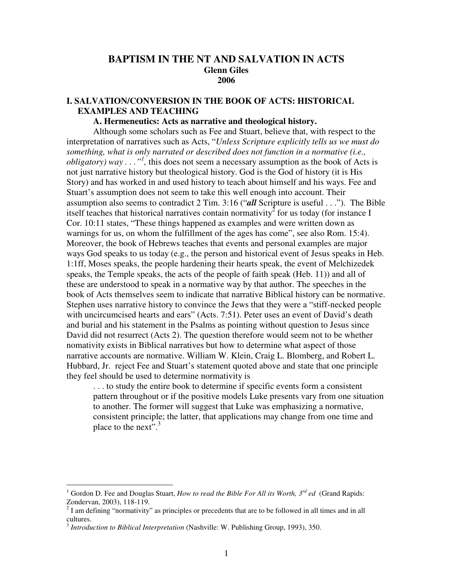# **BAPTISM IN THE NT AND SALVATION IN ACTS Glenn Giles 2006**

# **I. SALVATION/CONVERSION IN THE BOOK OF ACTS: HISTORICAL EXAMPLES AND TEACHING**

## **A. Hermeneutics: Acts as narrative and theological history.**

Although some scholars such as Fee and Stuart, believe that, with respect to the interpretation of narratives such as Acts, "*Unless Scripture explicitly tells us we must do something, what is only narrated or described does not function in a normative (i.e., obligatory*) way  $\ldots$ <sup>"</sup>, this does not seem a necessary assumption as the book of Acts is not just narrative history but theological history. God is the God of history (it is His Story) and has worked in and used history to teach about himself and his ways. Fee and Stuart's assumption does not seem to take this well enough into account. Their assumption also seems to contradict 2 Tim. 3:16 ("*all* Scripture is useful . . ."). The Bible itself teaches that historical narratives contain normativity<sup>2</sup> for us today (for instance I Cor. 10:11 states, "These things happened as examples and were written down as warnings for us, on whom the fulfillment of the ages has come", see also Rom. 15:4). Moreover, the book of Hebrews teaches that events and personal examples are major ways God speaks to us today (e.g., the person and historical event of Jesus speaks in Heb. 1:1ff, Moses speaks, the people hardening their hearts speak, the event of Melchizedek speaks, the Temple speaks, the acts of the people of faith speak (Heb. 11)) and all of these are understood to speak in a normative way by that author. The speeches in the book of Acts themselves seem to indicate that narrative Biblical history can be normative. Stephen uses narrative history to convince the Jews that they were a "stiff-necked people with uncircumcised hearts and ears" (Acts. 7:51). Peter uses an event of David's death and burial and his statement in the Psalms as pointing without question to Jesus since David did not resurrect (Acts 2). The question therefore would seem not to be whether nomativity exists in Biblical narratives but how to determine what aspect of those narrative accounts are normative. William W. Klein, Craig L. Blomberg, and Robert L. Hubbard, Jr. reject Fee and Stuart's statement quoted above and state that one principle they feel should be used to determine normativity is

. . . to study the entire book to determine if specific events form a consistent pattern throughout or if the positive models Luke presents vary from one situation to another. The former will suggest that Luke was emphasizing a normative, consistent principle; the latter, that applications may change from one time and place to the next".<sup>3</sup>

<sup>1</sup> Gordon D. Fee and Douglas Stuart, *How to read the Bible For All its Worth, 3 rd ed* (Grand Rapids: Zondervan, 2003), 118-119.

 $2<sup>2</sup>$  I am defining "normativity" as principles or precedents that are to be followed in all times and in all cultures.

<sup>3</sup> *Introduction to Biblical Interpretation* (Nashville: W. Publishing Group, 1993), 350.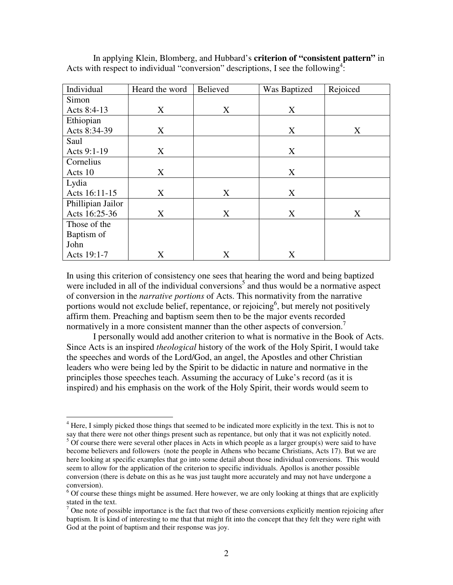| Individual        | Heard the word | <b>Believed</b> | Was Baptized | Rejoiced |
|-------------------|----------------|-----------------|--------------|----------|
| Simon             |                |                 |              |          |
| Acts 8:4-13       | X              | X               | X            |          |
| Ethiopian         |                |                 |              |          |
| Acts 8:34-39      | X              |                 | X            | X        |
| Saul              |                |                 |              |          |
| Acts 9:1-19       | X              |                 | X            |          |
| Cornelius         |                |                 |              |          |
| Acts 10           | X              |                 | X            |          |
| Lydia             |                |                 |              |          |
| Acts 16:11-15     | X              | X               | X            |          |
| Phillipian Jailor |                |                 |              |          |
| Acts 16:25-36     | X              | X               | X            | X        |
| Those of the      |                |                 |              |          |
| Baptism of        |                |                 |              |          |
| John              |                |                 |              |          |
| Acts 19:1-7       | X              | X               | X            |          |

In applying Klein, Blomberg, and Hubbard's **criterion of "consistent pattern"** in Acts with respect to individual "conversion" descriptions, I see the following<sup>4</sup>:

In using this criterion of consistency one sees that hearing the word and being baptized were included in all of the individual conversions<sup>5</sup> and thus would be a normative aspect of conversion in the *narrative portions* of Acts. This normativity from the narrative portions would not exclude belief, repentance, or rejoicing<sup>6</sup>, but merely not positively affirm them. Preaching and baptism seem then to be the major events recorded normatively in a more consistent manner than the other aspects of conversion.<sup>7</sup>

I personally would add another criterion to what is normative in the Book of Acts. Since Acts is an inspired *theological* history of the work of the Holy Spirit, I would take the speeches and words of the Lord/God, an angel, the Apostles and other Christian leaders who were being led by the Spirit to be didactic in nature and normative in the principles those speeches teach. Assuming the accuracy of Luke's record (as it is inspired) and his emphasis on the work of the Holy Spirit, their words would seem to

 $4$  Here, I simply picked those things that seemed to be indicated more explicitly in the text. This is not to say that there were not other things present such as repentance, but only that it was not explicitly noted.

 $5$  Of course there were several other places in Acts in which people as a larger group(s) were said to have become believers and followers (note the people in Athens who became Christians, Acts 17). But we are here looking at specific examples that go into some detail about those individual conversions. This would seem to allow for the application of the criterion to specific individuals. Apollos is another possible conversion (there is debate on this as he was just taught more accurately and may not have undergone a conversion).

 $6$  Of course these things might be assumed. Here however, we are only looking at things that are explicitly stated in the text.

 $7$  One note of possible importance is the fact that two of these conversions explicitly mention rejoicing after baptism. It is kind of interesting to me that that might fit into the concept that they felt they were right with God at the point of baptism and their response was joy.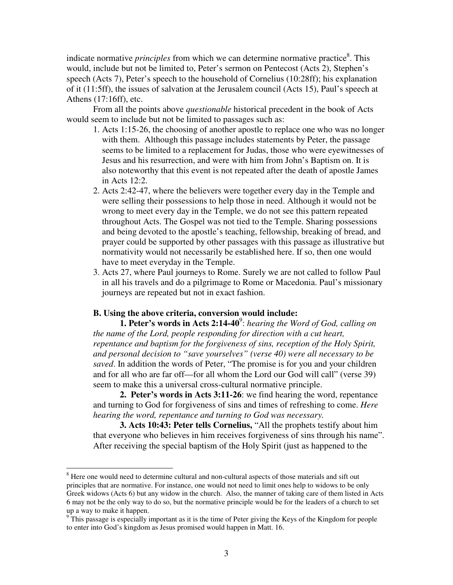indicate normative *principles* from which we can determine normative practice 8 . This would, include but not be limited to, Peter's sermon on Pentecost (Acts 2), Stephen's speech (Acts 7), Peter's speech to the household of Cornelius (10:28ff); his explanation of it (11:5ff), the issues of salvation at the Jerusalem council (Acts 15), Paul's speech at Athens (17:16ff), etc.

From all the points above *questionable* historical precedent in the book of Acts would seem to include but not be limited to passages such as:

- 1. Acts 1:15-26, the choosing of another apostle to replace one who was no longer with them. Although this passage includes statements by Peter, the passage seems to be limited to a replacement for Judas, those who were eyewitnesses of Jesus and his resurrection, and were with him from John's Baptism on. It is also noteworthy that this event is not repeated after the death of apostle James in Acts 12:2.
- 2. Acts 2:42-47, where the believers were together every day in the Temple and were selling their possessions to help those in need. Although it would not be wrong to meet every day in the Temple, we do not see this pattern repeated throughout Acts. The Gospel was not tied to the Temple. Sharing possessions and being devoted to the apostle's teaching, fellowship, breaking of bread, and prayer could be supported by other passages with this passage as illustrative but normativity would not necessarily be established here. If so, then one would have to meet everyday in the Temple.
- 3. Acts 27, where Paul journeys to Rome. Surely we are not called to follow Paul in all his travels and do a pilgrimage to Rome or Macedonia. Paul's missionary journeys are repeated but not in exact fashion.

## **B. Using the above criteria, conversion would include:**

**1. Peter's words in Acts 2:14-40** 9 : *hearing the Word of God, calling on the name of the Lord, people responding for direction with a cut heart, repentance and baptism for the forgiveness of sins, reception of the Holy Spirit, and personal decision to "save yourselves" (verse 40) were all necessary to be saved*. In addition the words of Peter, "The promise is for you and your children and for all who are far off—for all whom the Lord our God will call" (verse 39) seem to make this a universal cross-cultural normative principle.

**2. Peter's words in Acts 3:11-26**: we find hearing the word, repentance and turning to God for forgiveness of sins and times of refreshing to come. *Here hearing the word, repentance and turning to God was necessary.*

**3. Acts 10:43: Peter tells Cornelius,** "All the prophets testify about him that everyone who believes in him receives forgiveness of sins through his name". After receiving the special baptism of the Holy Spirit (just as happened to the

<sup>&</sup>lt;sup>8</sup> Here one would need to determine cultural and non-cultural aspects of those materials and sift out principles that are normative. For instance, one would not need to limit ones help to widows to be only Greek widows (Acts 6) but any widow in the church. Also, the manner of taking care of them listed in Acts 6 may not be the only way to do so, but the normative principle would be for the leaders of a church to set up a way to make it happen.

 $9^{\circ}$ This passage is especially important as it is the time of Peter giving the Keys of the Kingdom for people to enter into God's kingdom as Jesus promised would happen in Matt. 16.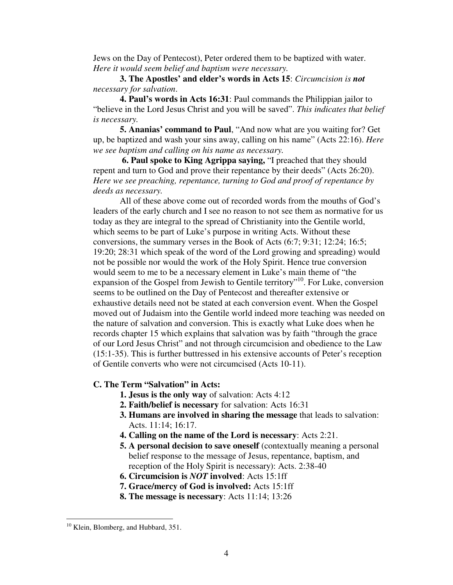Jews on the Day of Pentecost), Peter ordered them to be baptized with water. *Here it would seem belief and baptism were necessary.*

**3. The Apostles' and elder's words in Acts 15**: *Circumcision is not necessary for salvation*.

**4. Paul's words in Acts 16:31**: Paul commands the Philippian jailor to "believe in the Lord Jesus Christ and you will be saved". *This indicates that belief is necessary.*

**5. Ananias' command to Paul**, "And now what are you waiting for? Get up, be baptized and wash your sins away, calling on his name" (Acts 22:16). *Here we see baptism and calling on his name as necessary.*

**6. Paul spoke to King Agrippa saying,** "I preached that they should repent and turn to God and prove their repentance by their deeds" (Acts 26:20). *Here we see preaching, repentance, turning to God and proof of repentance by deeds as necessary.*

All of these above come out of recorded words from the mouths of God's leaders of the early church and I see no reason to not see them as normative for us today as they are integral to the spread of Christianity into the Gentile world, which seems to be part of Luke's purpose in writing Acts. Without these conversions, the summary verses in the Book of Acts (6:7; 9:31; 12:24; 16:5; 19:20; 28:31 which speak of the word of the Lord growing and spreading) would not be possible nor would the work of the Holy Spirit. Hence true conversion would seem to me to be a necessary element in Luke's main theme of "the expansion of the Gospel from Jewish to Gentile territory"<sup>10</sup>. For Luke, conversion seems to be outlined on the Day of Pentecost and thereafter extensive or exhaustive details need not be stated at each conversion event. When the Gospel moved out of Judaism into the Gentile world indeed more teaching was needed on the nature of salvation and conversion. This is exactly what Luke does when he records chapter 15 which explains that salvation was by faith "through the grace of our Lord Jesus Christ" and not through circumcision and obedience to the Law (15:1-35). This is further buttressed in his extensive accounts of Peter's reception of Gentile converts who were not circumcised (Acts 10-11).

### **C. The Term "Salvation" in Acts:**

- **1. Jesus is the only way** of salvation: Acts 4:12
- **2. Faith/belief is necessary** for salvation: Acts 16:31
- **3. Humans are involved in sharing the message** that leads to salvation: Acts. 11:14; 16:17.
- **4. Calling on the name of the Lord is necessary**: Acts 2:21.
- **5. A personal decision to save oneself** (contextually meaning a personal belief response to the message of Jesus, repentance, baptism, and reception of the Holy Spirit is necessary): Acts. 2:38-40
- **6. Circumcision is** *NOT* **involved**: Acts 15:1ff
- **7. Grace/mercy of God is involved:** Acts 15:1ff
- **8. The message is necessary**: Acts 11:14; 13:26

<sup>&</sup>lt;sup>10</sup> Klein, Blomberg, and Hubbard, 351.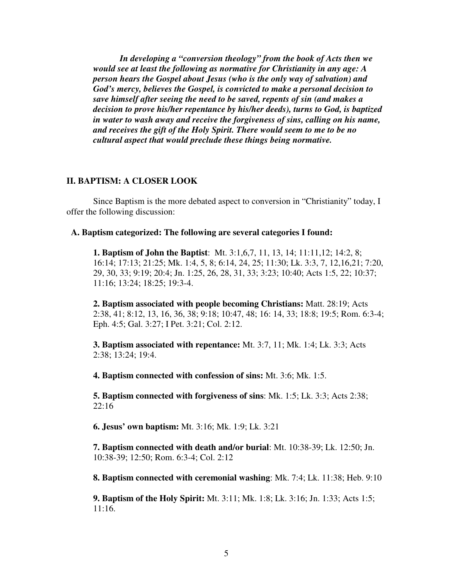*In developing a "conversion theology" from the book of Acts then we would see at least the following as normative for Christianity in any age: A person hears the Gospel about Jesus (who is the only way of salvation) and God's mercy, believes the Gospel, is convicted to make a personal decision to save himself after seeing the need to be saved, repents of sin (and makes a decision to prove his/her repentance by his/her deeds), turns to God, is baptized in water to wash away and receive the forgiveness of sins, calling on his name, and receives the gift of the Holy Spirit. There would seem to me to be no cultural aspect that would preclude these things being normative.*

### **II. BAPTISM: A CLOSER LOOK**

Since Baptism is the more debated aspect to conversion in "Christianity" today, I offer the following discussion:

#### **A. Baptism categorized: The following are several categories I found:**

**1. Baptism of John the Baptist**: Mt. 3:1,6,7, 11, 13, 14; 11:11,12; 14:2, 8; 16:14; 17:13; 21:25; Mk. 1:4, 5, 8; 6:14, 24, 25; 11:30; Lk. 3:3, 7, 12,16,21; 7:20, 29, 30, 33; 9:19; 20:4; Jn. 1:25, 26, 28, 31, 33; 3:23; 10:40; Acts 1:5, 22; 10:37; 11:16; 13:24; 18:25; 19:3-4.

**2. Baptism associated with people becoming Christians:** Matt. 28:19; Acts 2:38, 41; 8:12, 13, 16, 36, 38; 9:18; 10:47, 48; 16: 14, 33; 18:8; 19:5; Rom. 6:3-4; Eph. 4:5; Gal. 3:27; I Pet. 3:21; Col. 2:12.

**3. Baptism associated with repentance:** Mt. 3:7, 11; Mk. 1:4; Lk. 3:3; Acts 2:38; 13:24; 19:4.

**4. Baptism connected with confession of sins:** Mt. 3:6; Mk. 1:5.

**5. Baptism connected with forgiveness of sins**: Mk. 1:5; Lk. 3:3; Acts 2:38; 22:16

**6. Jesus' own baptism:** Mt. 3:16; Mk. 1:9; Lk. 3:21

**7. Baptism connected with death and/or burial**: Mt. 10:38-39; Lk. 12:50; Jn. 10:38-39; 12:50; Rom. 6:3-4; Col. 2:12

**8. Baptism connected with ceremonial washing**: Mk. 7:4; Lk. 11:38; Heb. 9:10

**9. Baptism of the Holy Spirit:** Mt. 3:11; Mk. 1:8; Lk. 3:16; Jn. 1:33; Acts 1:5; 11:16.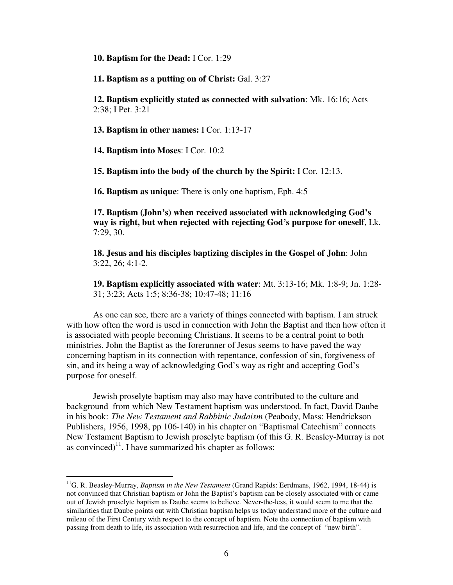**10. Baptism for the Dead:** I Cor. 1:29

**11. Baptism as a putting on of Christ:** Gal. 3:27

**12. Baptism explicitly stated as connected with salvation**: Mk. 16:16; Acts 2:38; I Pet. 3:21

**13. Baptism in other names:** I Cor. 1:13-17

**14. Baptism into Moses**: I Cor. 10:2

**15. Baptism into the body of the church by the Spirit:** I Cor. 12:13.

**16. Baptism as unique**: There is only one baptism, Eph. 4:5

**17. Baptism (John's) when received associated with acknowledging God's way is right, but when rejected with rejecting God's purpose for oneself**, Lk. 7:29, 30.

**18. Jesus and his disciples baptizing disciples in the Gospel of John**: John 3:22, 26; 4:1-2.

**19. Baptism explicitly associated with water**: Mt. 3:13-16; Mk. 1:8-9; Jn. 1:28- 31; 3:23; Acts 1:5; 8:36-38; 10:47-48; 11:16

As one can see, there are a variety of things connected with baptism. I am struck with how often the word is used in connection with John the Baptist and then how often it is associated with people becoming Christians. It seems to be a central point to both ministries. John the Baptist as the forerunner of Jesus seems to have paved the way concerning baptism in its connection with repentance, confession of sin, forgiveness of sin, and its being a way of acknowledging God's way as right and accepting God's purpose for oneself.

Jewish proselyte baptism may also may have contributed to the culture and background from which New Testament baptism was understood. In fact, David Daube in his book: *The New Testament and Rabbinic Judaism* (Peabody, Mass: Hendrickson Publishers, 1956, 1998, pp 106-140) in his chapter on "Baptismal Catechism" connects New Testament Baptism to Jewish proselyte baptism (of this G. R. Beasley-Murray is not as convinced) $<sup>11</sup>$ . I have summarized his chapter as follows:</sup>

<sup>11</sup>G. R. Beasley-Murray, *Baptism in the New Testament* (Grand Rapids: Eerdmans, 1962, 1994, 18-44) is not convinced that Christian baptism or John the Baptist's baptism can be closely associated with or came out of Jewish proselyte baptism as Daube seems to believe. Never-the-less, it would seem to me that the similarities that Daube points out with Christian baptism helps us today understand more of the culture and mileau of the First Century with respect to the concept of baptism. Note the connection of baptism with passing from death to life, its association with resurrection and life, and the concept of "new birth".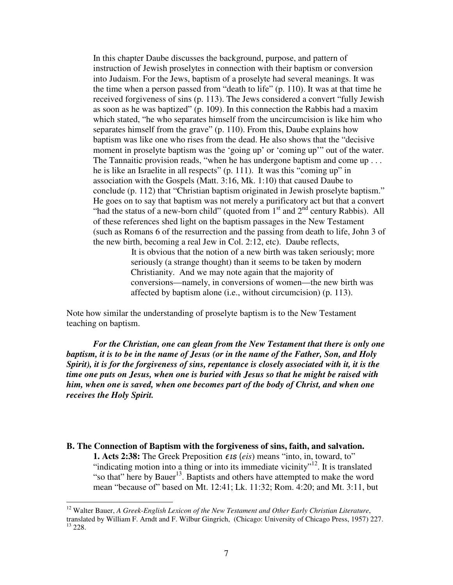In this chapter Daube discusses the background, purpose, and pattern of instruction of Jewish proselytes in connection with their baptism or conversion into Judaism. For the Jews, baptism of a proselyte had several meanings. It was the time when a person passed from "death to life" (p. 110). It was at that time he received forgiveness of sins (p. 113). The Jews considered a convert "fully Jewish as soon as he was baptized" (p. 109). In this connection the Rabbis had a maxim which stated, "he who separates himself from the uncircumcision is like him who separates himself from the grave" (p. 110). From this, Daube explains how baptism was like one who rises from the dead. He also shows that the "decisive moment in proselyte baptism was the 'going up' or 'coming up'" out of the water. The Tannaitic provision reads, "when he has undergone baptism and come up . . . he is like an Israelite in all respects" (p. 111). It was this "coming up" in association with the Gospels (Matt. 3:16, Mk. 1:10) that caused Daube to conclude (p. 112) that "Christian baptism originated in Jewish proselyte baptism." He goes on to say that baptism was not merely a purificatory act but that a convert "had the status of a new-born child" (quoted from  $1<sup>st</sup>$  and  $2<sup>nd</sup>$  century Rabbis). All of these references shed light on the baptism passages in the New Testament (such as Romans 6 of the resurrection and the passing from death to life, John 3 of the new birth, becoming a real Jew in Col. 2:12, etc). Daube reflects,

> It is obvious that the notion of a new birth was taken seriously; more seriously (a strange thought) than it seems to be taken by modern Christianity. And we may note again that the majority of conversions—namely, in conversions of women—the new birth was affected by baptism alone (i.e., without circumcision) (p. 113).

Note how similar the understanding of proselyte baptism is to the New Testament teaching on baptism.

*For the Christian, one can glean from the New Testament that there is only one* baptism, it is to be in the name of Jesus (or in the name of the Father, Son, and Holy *Spirit), it is for the forgiveness of sins, repentance is closely associated with it, it is the time one puts on Jesus, when one is buried with Jesus so that he might be raised with him, when one is saved, when one becomes part of the body of Christ, and when one receives the Holy Spirit.*

# **B. The Connection of Baptism with the forgiveness of sins, faith, and salvation. 1. Acts 2:38:** The Greek Preposition  $\epsilon$  is (*eis*) means "into, in, toward, to" "indicating motion into a thing or into its immediate vicinity"<sup>12</sup>. It is translated "so that" here by Bauer<sup>13</sup>. Baptists and others have attempted to make the word mean "because of" based on Mt. 12:41; Lk. 11:32; Rom. 4:20; and Mt. 3:11, but

<sup>12</sup> Walter Bauer, *A Greek-English Lexicon of the New Testament and Other Early Christian Literature*, translated by William F. Arndt and F. Wilbur Gingrich, (Chicago: University of Chicago Press, 1957) 227.  $^{13}$  228.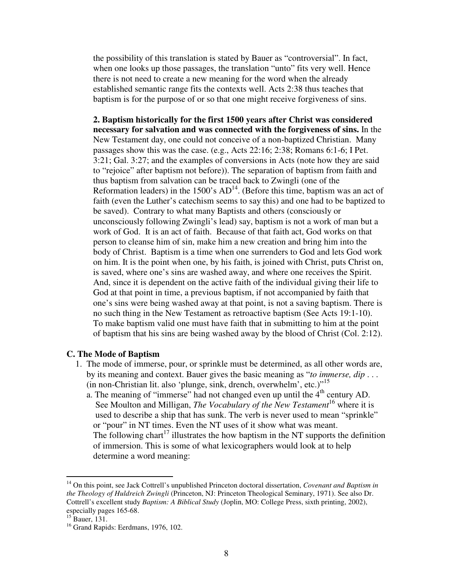the possibility of this translation is stated by Bauer as "controversial". In fact, when one looks up those passages, the translation "unto" fits very well. Hence there is not need to create a new meaning for the word when the already established semantic range fits the contexts well. Acts 2:38 thus teaches that baptism is for the purpose of or so that one might receive forgiveness of sins.

**2. Baptism historically for the first 1500 years after Christ was considered necessary for salvation and was connected with the forgiveness of sins.** In the New Testament day, one could not conceive of a non-baptized Christian. Many passages show this was the case. (e.g., Acts 22:16; 2:38; Romans 6:1-6; I Pet. 3:21; Gal. 3:27; and the examples of conversions in Acts (note how they are said to "rejoice" after baptism not before)). The separation of baptism from faith and thus baptism from salvation can be traced back to Zwingli (one of the Reformation leaders) in the 1500's  $AD<sup>14</sup>$ . (Before this time, baptism was an act of faith (even the Luther's catechism seems to say this) and one had to be baptized to be saved). Contrary to what many Baptists and others (consciously or unconsciously following Zwingli's lead) say, baptism is not a work of man but a work of God. It is an act of faith. Because of that faith act, God works on that person to cleanse him of sin, make him a new creation and bring him into the body of Christ. Baptism is a time when one surrenders to God and lets God work on him. It is the point when one, by his faith, is joined with Christ, puts Christ on, is saved, where one's sins are washed away, and where one receives the Spirit. And, since it is dependent on the active faith of the individual giving their life to God at that point in time, a previous baptism, if not accompanied by faith that one's sins were being washed away at that point, is not a saving baptism. There is no such thing in the New Testament as retroactive baptism (See Acts 19:1-10). To make baptism valid one must have faith that in submitting to him at the point of baptism that his sins are being washed away by the blood of Christ (Col. 2:12).

## **C. The Mode of Baptism**

- 1. The mode of immerse, pour, or sprinkle must be determined, as all other words are, by its meaning and context. Bauer gives the basic meaning as "*to immerse, dip* . . . (in non-Christian lit. also 'plunge, sink, drench, overwhelm', etc.)" 15
	- a. The meaning of "immerse" had not changed even up until the  $4<sup>th</sup>$  century AD. See Moulton and Milligan, *The Vocabulary of the New Testament* 16 where it is used to describe a ship that has sunk. The verb is never used to mean "sprinkle" or "pour" in NT times. Even the NT uses of it show what was meant. The following chart<sup>17</sup> illustrates the how baptism in the NT supports the definition of immersion. This is some of what lexicographers would look at to help determine a word meaning:

<sup>14</sup> On this point, see Jack Cottrell's unpublished Princeton doctoral dissertation, *Covenant and Baptism in the Theology of Huldreich Zwingli* (Princeton, NJ: Princeton Theological Seminary, 1971). See also Dr. Cottrell's excellent study *Baptism: A Biblical Study* (Joplin, MO: College Press, sixth printing, 2002), especially pages 165-68.

<sup>15</sup> Bauer, 131.

<sup>&</sup>lt;sup>16</sup> Grand Rapids: Eerdmans, 1976, 102.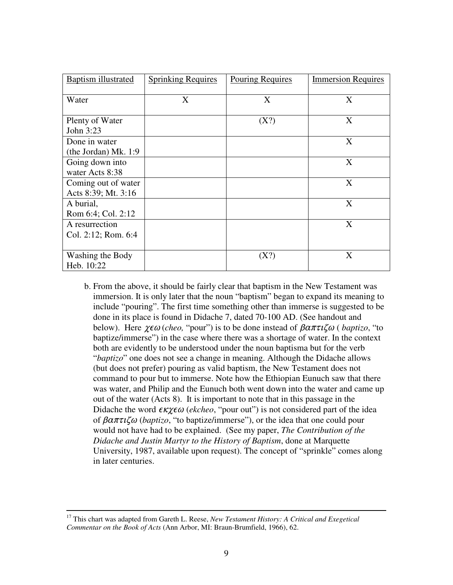| <b>Baptism</b> illustrated                 | <b>Sprinking Requires</b> | Pouring Requires | <b>Immersion Requires</b> |
|--------------------------------------------|---------------------------|------------------|---------------------------|
| Water                                      | X                         | X                | X                         |
| Plenty of Water<br>John 3:23               |                           | (X?)             | X                         |
| Done in water<br>(the Jordan) Mk. 1:9      |                           |                  | X                         |
| Going down into<br>water Acts 8:38         |                           |                  | X                         |
| Coming out of water<br>Acts 8:39; Mt. 3:16 |                           |                  | X                         |
| A burial,<br>Rom 6:4; Col. 2:12            |                           |                  | X                         |
| A resurrection<br>Col. 2:12; Rom. 6:4      |                           |                  | X                         |
| Washing the Body<br>Heb. 10:22             |                           | (X?)             | X                         |

b. From the above, it should be fairly clear that baptism in the New Testament was immersion. It is only later that the noun "baptism" began to expand its meaning to include "pouring". The first time something other than immerse is suggested to be done in its place is found in Didache 7, dated 70-100 AD. (See handout and below). Here  $\chi \epsilon \omega$  (*cheo*, "pour") is to be done instead of  $\beta \alpha \pi \tau \zeta \omega$  (*baptizo*, "to baptize/immerse") in the case where there was a shortage of water. In the context both are evidently to be understood under the noun baptisma but for the verb "*baptizo*" one does not see a change in meaning. Although the Didache allows (but does not prefer) pouring as valid baptism, the New Testament does not command to pour but to immerse. Note how the Ethiopian Eunuch saw that there was water, and Philip and the Eunuch both went down into the water and came up out of the water (Acts 8). It is important to note that in this passage in the Didache the word  $\epsilon \kappa \chi \epsilon \omega$  (ekcheo, "pour out") is not considered part of the idea of  $\beta \alpha \pi \tau \iota \zeta \omega$  (*baptizo*, "to baptize/immerse"), or the idea that one could pour would not have had to be explained. (See my paper, *The Contribution of the Didache and Justin Martyr to the History of Baptism*, done at Marquette University, 1987, available upon request). The concept of "sprinkle" comes along in later centuries.

<sup>17</sup> This chart was adapted from Gareth L. Reese, *New Testament History: A Critical and Exegetical Commentar on the Book of Acts* (Ann Arbor, MI: Braun-Brumfield, 1966), 62.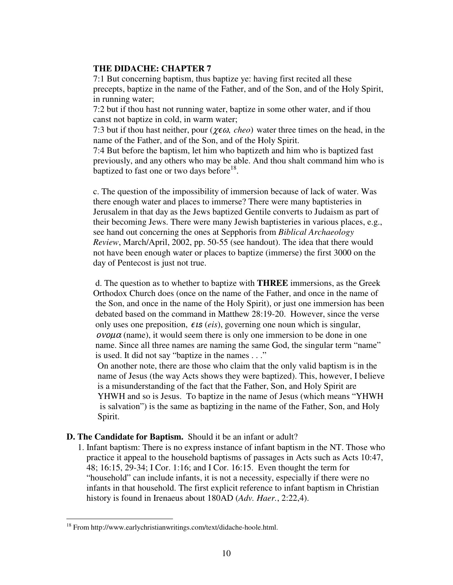# **THE DIDACHE: CHAPTER 7**

7:1 But concerning baptism, thus baptize ye: having first recited all these precepts, baptize in the name of the Father, and of the Son, and of the Holy Spirit, in running water;

7:2 but if thou hast not running water, baptize in some other water, and if thou canst not baptize in cold, in warm water;

7:3 but if thou hast neither, pour ( $\chi \epsilon \omega$ , *cheo*) water three times on the head, in the name of the Father, and of the Son, and of the Holy Spirit.

7:4 But before the baptism, let him who baptizeth and him who is baptized fast previously, and any others who may be able. And thou shalt command him who is baptized to fast one or two days before<sup>18</sup>.

c. The question of the impossibility of immersion because of lack of water. Was there enough water and places to immerse? There were many baptisteries in Jerusalem in that day as the Jews baptized Gentile converts to Judaism as part of their becoming Jews. There were many Jewish baptisteries in various places, e.g., see hand out concerning the ones at Sepphoris from *Biblical Archaeology Review*, March/April, 2002, pp. 50-55 (see handout). The idea that there would not have been enough water or places to baptize (immerse) the first 3000 on the day of Pentecost is just not true.

d. The question as to whether to baptize with **THREE** immersions, as the Greek Orthodox Church does (once on the name of the Father, and once in the name of the Son, and once in the name of the Holy Spirit), or just one immersion has been debated based on the command in Matthew 28:19-20. However, since the verse only uses one preposition,  $\epsilon$ *is* (*eis*), governing one noun which is singular,  $ovolu\alpha$  (name), it would seem there is only one immersion to be done in one name. Since all three names are naming the same God, the singular term "name" is used. It did not say "baptize in the names . . ."

On another note, there are those who claim that the only valid baptism is in the name of Jesus (the way Acts shows they were baptized). This, however, I believe is a misunderstanding of the fact that the Father, Son, and Holy Spirit are YHWH and so is Jesus. To baptize in the name of Jesus (which means "YHWH is salvation") is the same as baptizing in the name of the Father, Son, and Holy Spirit.

# **D. The Candidate for Baptism.** Should it be an infant or adult?

1. Infant baptism: There is no express instance of infant baptism in the NT. Those who practice it appeal to the household baptisms of passages in Acts such as Acts 10:47, 48; 16:15, 29-34; I Cor. 1:16; and I Cor. 16:15. Even thought the term for "household" can include infants, it is not a necessity, especially if there were no infants in that household. The first explicit reference to infant baptism in Christian history is found in Irenaeus about 180AD (*Adv. Haer.*, 2:22,4).

<sup>&</sup>lt;sup>18</sup> From http://www.earlychristianwritings.com/text/didache-hoole.html.